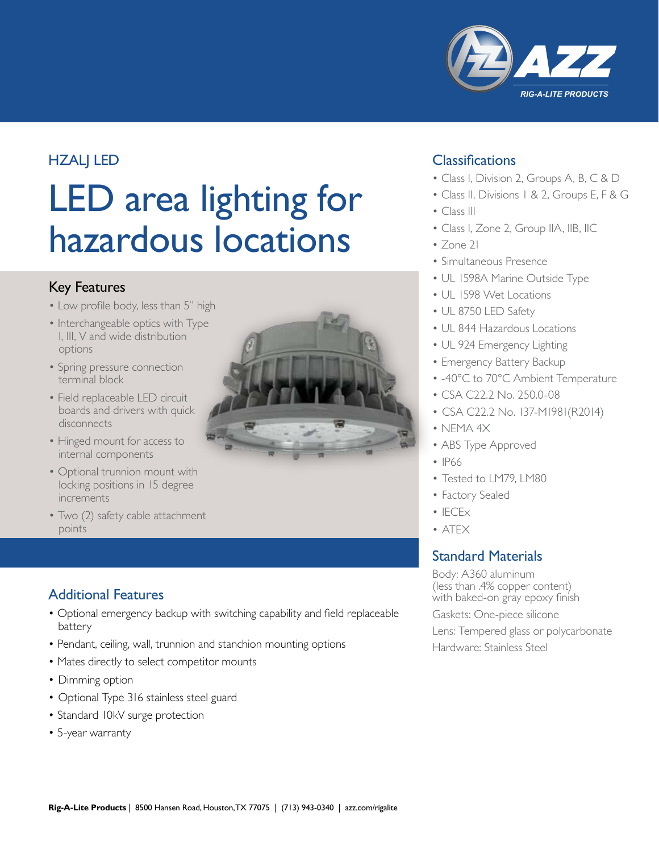

# **HZALJ LED**

# LED area lighting for hazardous locations

# Key Features

- Low profile body, less than 5" high
- Interchangeable optics with Type I, III, V and wide distribution options
- Spring pressure connection terminal block
- Field replaceable LED circuit boards and drivers with quick disconnects
- Hinged mount for access to internal components
- Optional trunnion mount with locking positions in 15 degree increments
- Two (2) safety cable attachment points

# Additional Features

- Optional emergency backup with switching capability and field replaceable battery
- Pendant, ceiling, wall, trunnion and stanchion mounting options
- Mates directly to select competitor mounts
- Dimming option
- Optional Type 316 stainless steel guard
- Standard 10kV surge protection
- 5-year warranty



# **Classifications**

- Class I, Division 2, Groups A, B, C & D
- Class II, Divisions 1 & 2, Groups E, F & G
- Class III
- Class I, Zone 2, Group IIA, IIB, IIC
- Zone 21
- Simultaneous Presence
- UL 1598A Marine Outside Type
- UL 1598 Wet Locations
- UL 8750 LED Safety
- UL 844 Hazardous Locations
- UL 924 Emergency Lighting
- Emergency Battery Backup
- -40°C to 70°C Ambient Temperature
- CSA C22.2 No. 250.0-08
- CSA C22.2 No. 137-M1981(R2014)
- NEMA 4X
- ABS Type Approved
- IP66
- Tested to LM79, LM80
- Factory Sealed
- $\cdot$  IECE $\times$
- ATEX

# Standard Materials

Body: A360 aluminum (less than .4% copper content) with baked-on gray epoxy finish

Gaskets: One-piece silicone

Lens: Tempered glass or polycarbonate Hardware: Stainless Steel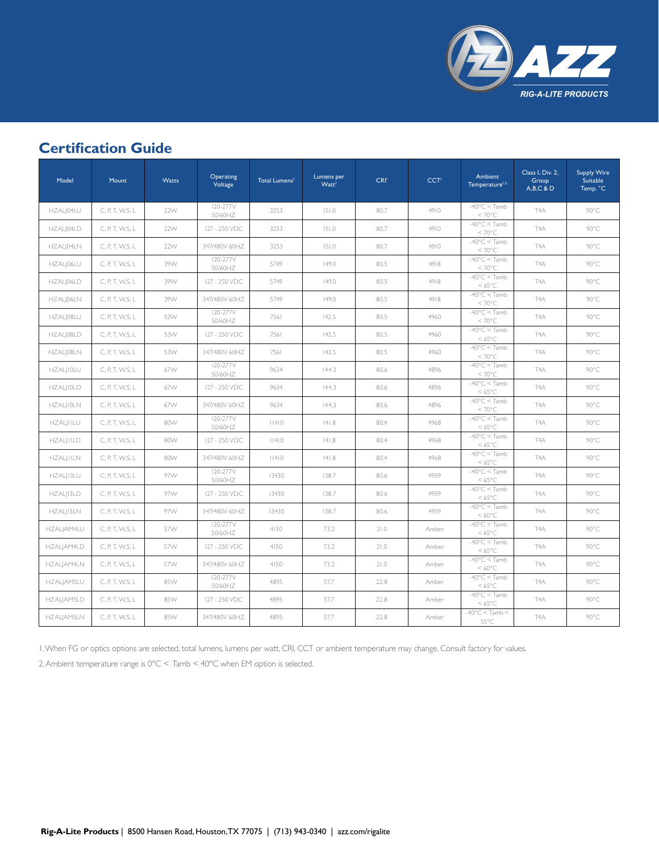

# **Certification Guide**

| Model            | Mount            | Watts | Operating<br>Voltage | Total Lumens <sup>1</sup> | Lumens per<br><b>Watt</b> | CRI  | CCT <sup>I</sup> | Ambient<br>Temperature <sup>1,2</sup>      | Class I, Div. 2,<br>Group<br>$A,B,C$ & $D$ | <b>Supply Wire</b><br>Suitable<br>Temp. °C |
|------------------|------------------|-------|----------------------|---------------------------|---------------------------|------|------------------|--------------------------------------------|--------------------------------------------|--------------------------------------------|
| HZALJ04LU        | C, P, T, W, S, L | 22W   | I20-277V<br>50/60HZ  | 3253                      | 151.0                     | 80.7 | 4910             | $-40^{\circ}$ C < Tamb<br>$< 70^{\circ}$ C | T <sub>4</sub> A                           | 90°C                                       |
| HZAL 04LD        | C, P, T, W, S, L | 22W   | 127 - 250 VDC        | 3253                      | 151.0                     | 80.7 | 4910             | $-40^{\circ}$ C < Tamb<br>$< 70^{\circ}$ C | T <sub>4</sub> A                           | 90°C                                       |
| HZAL 04LN        | C, P, T, W, S, L | 22W   | 347/480V 60HZ        | 3253                      | 151.0                     | 80.7 | 4910             | $-40^{\circ}$ C < Tamb<br>$< 70^{\circ}$ C | T <sub>4</sub> A                           | 90°C                                       |
| HZAL 06LU        | C, P, T, W, S, L | 39W   | I20-277V<br>50/60HZ  | 5749                      | 149.0                     | 80.5 | 4918             | $-40^{\circ}$ C < Tamb<br>$< 70^{\circ}$ C | T <sub>4</sub> A                           | 90°C                                       |
| HZAL 06LD        | C, P, T, W, S, L | 39W   | 127 - 250 VDC        | 5749                      | 149.0                     | 80.5 | 4918             | $-40^{\circ}$ C < Tamb<br>$<$ 65°C         | T <sub>4</sub> A                           | 90°C                                       |
| HZALJ06LN        | C, P, T, W, S, L | 39W   | 347/480V 60HZ        | 5749                      | 149.0                     | 80.5 | 4918             | $-40^{\circ}$ C < Tamb<br>$< 70^{\circ}$ C | T <sub>4</sub> A                           | 90°C                                       |
| HZALJ08LU        | C, P, T, W, S, L | 53W   | I20-277V<br>50/60HZ  | 7561                      | 142.5                     | 80.5 | 4960             | $-40^{\circ}$ C < Tamb<br>$< 70^{\circ}$ C | T <sub>4</sub> A                           | 90°C                                       |
| HZALJ08LD        | C, P, T, W, S, L | 53W   | 127 - 250 VDC        | 7561                      | 142.5                     | 80.5 | 4960             | $-40^{\circ}$ C < Tamb<br>$<$ 65°C         | T <sub>4</sub> A                           | 90°C                                       |
| HZAL 08LN        | C, P, T, W, S, L | 53W   | 347/480V 60HZ        | 7561                      | 142.5                     | 80.5 | 4960             | $-40^{\circ}$ C < Tamb<br>$< 70^{\circ}$ C | T <sub>4</sub> A                           | 90°C                                       |
| HZALJI0LU        | C, P, T, W, S, L | 67W   | I20-277V<br>50/60HZ  | 9634                      | 144.3                     | 80.6 | 4896             | $-40^{\circ}$ C < Tamb<br>$< 70^{\circ}$ C | T <sub>4</sub> A                           | 90°C                                       |
| HZAL IOLD        | C, P, T, W, S, L | 67W   | 127 - 250 VDC        | 9634                      | 144.3                     | 80.6 | 4896             | $-40^{\circ}$ C < Tamb<br>$< 65^{\circ}$ C | T4A                                        | 90°C                                       |
| HZAL IOLN        | C, P, T, W, S, L | 67W   | 347/480V 60HZ        | 9634                      | 144.3                     | 80.6 | 4896             | $-40^{\circ}$ C < Tamb<br>$< 70^{\circ}$ C | T <sub>4</sub> A                           | 90°C                                       |
| <b>HZAL IILU</b> | C, P, T, W, S, L | 80W   | I20-277V<br>50/60HZ  | 14 0                      | 4 .8                      | 80.4 | 4968             | $-40^{\circ}$ C < Tamb<br>$<$ 65°C         | T <sub>4</sub> A                           | 90°C                                       |
| <b>HZALIILD</b>  | C, P, T, W, S, L | 80W   | 127 - 250 VDC        | 14 0                      | 4 .8                      | 80.4 | 4968             | $-40^{\circ}$ C < Tamb<br>$< 65^{\circ}$ C | T <sub>4</sub> A                           | 90°C                                       |
| <b>HZAL IILN</b> | C, P, T, W, S, L | 80W   | 347/480V 60HZ        | 11410                     | 141.8                     | 80.4 | 4968             | $-40^{\circ}$ C < Tamb<br>$<$ 65°C         | T <sub>4</sub> A                           | 90°C                                       |
| HZALJ13LU        | C, P, T, W, S, L | 97W   | I20-277V<br>50/60HZ  | 13430                     | 138.7                     | 80.6 | 4959             | $-40^{\circ}$ C < Tamb<br>$< 65^{\circ}$ C | T <sub>4</sub> A                           | 90°C                                       |
| HZALJ13LD        | C, P, T, W, S, L | 97W   | 127 - 250 VDC        | 13430                     | 138.7                     | 80.6 | 4959             | $-40^{\circ}$ C < Tamb<br>$<$ 65°C         | T <sub>4</sub> A                           | 90°C                                       |
| HZAL I3LN        | C, P, T, W, S, L | 97W   | 347/480V 60HZ        | 13430                     | 138.7                     | 80.6 | 4959             | $-40^{\circ}$ C < Tamb<br>$< 60^{\circ}$ C | T <sub>4</sub> A                           | 90°C                                       |
| HZALJAM4LU       | C, P, T, W, S, L | 57W   | I20-277V<br>50/60HZ  | 4150                      | 73.2                      | 21.0 | Amber            | $-40^{\circ}$ C < Tamb<br>$<$ 65°C         | T <sub>4</sub> A                           | 90°C                                       |
| HZALJAM4LD       | C, P, T, W, S, L | 57W   | 127 - 250 VDC        | 4150                      | 73.2                      | 21.0 | Amber            | $-40^{\circ}$ C < Tamb<br>$<$ 65°C         | T <sub>4</sub> A                           | 90°C                                       |
| HZALJAM4LN       | C, P, T, W, S, L | 57W   | 347/480V 60HZ        | 4150                      | 73.2                      | 21.0 | Amber            | $-40^{\circ}$ C < Tamb<br>$< 60^{\circ}$ C | T <sub>4</sub> A                           | 90°C                                       |
| HZALJAM5LU       | C, P, T, W, S, L | 85W   | I20-277V<br>50/60HZ  | 4895                      | 57.7                      | 22.8 | Amber            | $-40^{\circ}$ C < Tamb<br>$<$ 65°C         | T <sub>4</sub> A                           | 90°C                                       |
| HZALJAM5LD       | C, P, T, W, S, L | 85W   | 127 - 250 VDC        | 4895                      | 57.7                      | 22.8 | Amber            | $-40^{\circ}$ C < Tamb<br>$< 65^{\circ}$ C | T <sub>4</sub> A                           | 90°C                                       |
| HZALJAM5LN       | C, P, T, W, S, L | 85W   | 347/480V 60HZ        | 4895                      | 57.7                      | 22.8 | Amber            | $-40^{\circ}$ C < Tamb <<br>55°C           | T <sub>4</sub> A                           | 90°C                                       |

1. When FG or optics options are selected, total lumens, lumens per watt, CRI, CCT or ambient temperature may change. Consult factory for values.

2. Ambient temperature range is 0°C < Tamb < 40°C when EM option is selected.